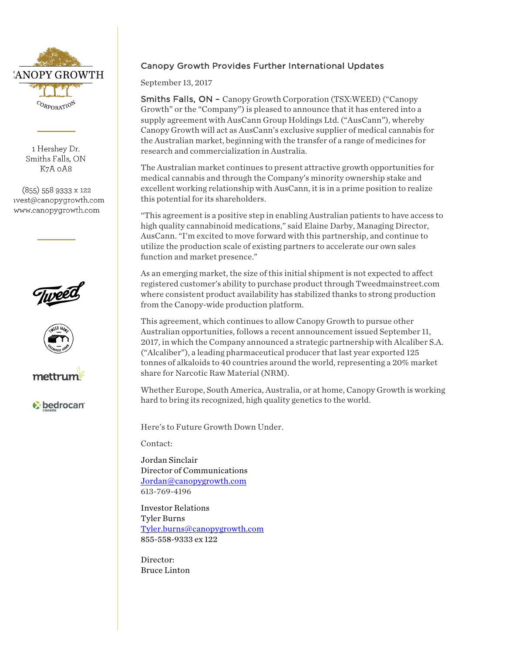

1 Hershey Dr. Smiths Falls, ON K7A oA8

(855) 558 9333 x 122 ivest@canopygrowth.com www.canopygrowth.com







*v* bedrocan

## Canopy Growth Provides Further International Updates

September 13, 2017

Smiths Falls, ON - Canopy Growth Corporation (TSX:WEED) ("Canopy Growth" or the "Company") is pleased to announce that it has entered into a supply agreement with AusCann Group Holdings Ltd. ("AusCann"), whereby Canopy Growth will act as AusCann's exclusive supplier of medical cannabis for the Australian market, beginning with the transfer of a range of medicines for research and commercialization in Australia.

The Australian market continues to present attractive growth opportunities for medical cannabis and through the Company's minority ownership stake and excellent working relationship with AusCann, it is in a prime position to realize this potential for its shareholders.

"This agreement is a positive step in enabling Australian patients to have access to high quality cannabinoid medications," said Elaine Darby, Managing Director, AusCann. "I'm excited to move forward with this partnership, and continue to utilize the production scale of existing partners to accelerate our own sales function and market presence."

As an emerging market, the size of this initial shipment is not expected to affect registered customer's ability to purchase product through Tweedmainstreet.com where consistent product availability has stabilized thanks to strong production from the Canopy-wide production platform.

This agreement, which continues to allow Canopy Growth to pursue other Australian opportunities, follows a recent announcement issued September 11, 2017, in which the Company announced a strategic partnership with Alcaliber S.A. ("Alcaliber"), a leading pharmaceutical producer that last year exported 125 tonnes of alkaloids to 40 countries around the world, representing a 20% market share for Narcotic Raw Material (NRM).

Whether Europe, South America, Australia, or at home, Canopy Growth is working hard to bring its recognized, high quality genetics to the world.

Here's to Future Growth Down Under.

Contact:

Jordan Sinclair Director of Communications Jordan@canopygrowth.com 613-769-4196

Investor Relations Tyler Burns Tyler.burns@canopygrowth.com 855-558-9333 ex 122

Director: Bruce Linton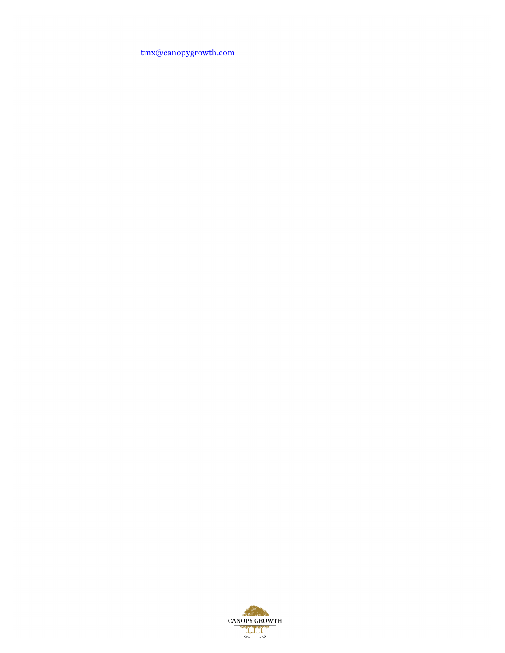tmx@canopygrowth.com